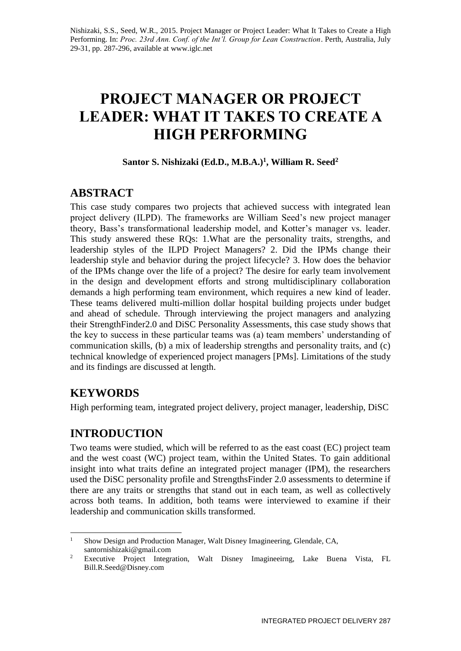# **PROJECT MANAGER OR PROJECT LEADER: WHAT IT TAKES TO CREATE A HIGH PERFORMING**

### **Santor S. Nishizaki (Ed.D., M.B.A.)<sup>1</sup> , William R. Seed<sup>2</sup>**

# **ABSTRACT**

This case study compares two projects that achieved success with integrated lean project delivery (ILPD). The frameworks are William Seed's new project manager theory, Bass's transformational leadership model, and Kotter's manager vs. leader. This study answered these RQs: 1.What are the personality traits, strengths, and leadership styles of the ILPD Project Managers? 2. Did the IPMs change their leadership style and behavior during the project lifecycle? 3. How does the behavior of the IPMs change over the life of a project? The desire for early team involvement in the design and development efforts and strong multidisciplinary collaboration demands a high performing team environment, which requires a new kind of leader. These teams delivered multi-million dollar hospital building projects under budget and ahead of schedule. Through interviewing the project managers and analyzing their StrengthFinder2.0 and DiSC Personality Assessments, this case study shows that the key to success in these particular teams was (a) team members' understanding of communication skills, (b) a mix of leadership strengths and personality traits, and (c) technical knowledge of experienced project managers [PMs]. Limitations of the study and its findings are discussed at length.

# **KEYWORDS**

High performing team, integrated project delivery, project manager, leadership, DiSC

# **INTRODUCTION**

Two teams were studied, which will be referred to as the east coast (EC) project team and the west coast (WC) project team, within the United States. To gain additional insight into what traits define an integrated project manager (IPM), the researchers used the DiSC personality profile and StrengthsFinder 2.0 assessments to determine if there are any traits or strengths that stand out in each team, as well as collectively across both teams. In addition, both teams were interviewed to examine if their leadership and communication skills transformed.

<sup>1</sup> <sup>1</sup> Show Design and Production Manager, Walt Disney Imagineering, Glendale, CA, santornishizaki@gmail.com

<sup>&</sup>lt;sup>2</sup> Executive Project Integration, Walt Disney Imagineeirng, Lake Buena Vista, FL Bill.R.Seed@Disney.com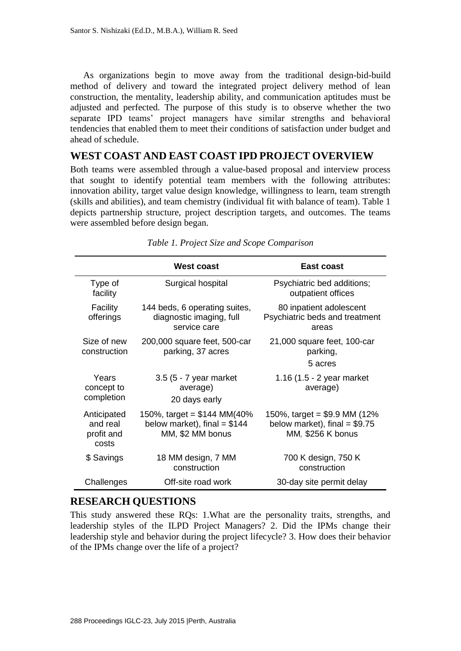As organizations begin to move away from the traditional design-bid-build method of delivery and toward the integrated project delivery method of lean construction, the mentality, leadership ability, and communication aptitudes must be adjusted and perfected. The purpose of this study is to observe whether the two separate IPD teams' project managers have similar strengths and behavioral tendencies that enabled them to meet their conditions of satisfaction under budget and ahead of schedule.

#### **WEST COAST AND EAST COAST IPD PROJECT OVERVIEW**

Both teams were assembled through a value-based proposal and interview process that sought to identify potential team members with the following attributes: innovation ability, target value design knowledge, willingness to learn, team strength (skills and abilities), and team chemistry (individual fit with balance of team). Table 1 depicts partnership structure, project description targets, and outcomes. The teams were assembled before design began.

|                                                | West coast                                                                         | <b>East coast</b>                                                                     |
|------------------------------------------------|------------------------------------------------------------------------------------|---------------------------------------------------------------------------------------|
| Type of<br>facility                            | Surgical hospital                                                                  | Psychiatric bed additions;<br>outpatient offices                                      |
| Facility<br>offerings                          | 144 beds, 6 operating suites,<br>diagnostic imaging, full<br>service care          | 80 inpatient adolescent<br>Psychiatric beds and treatment<br>areas                    |
| Size of new<br>construction                    | 200,000 square feet, 500-car<br>parking, 37 acres                                  | 21,000 square feet, 100-car<br>parking,<br>5 acres                                    |
| Years<br>concept to<br>completion              | 3.5 (5 - 7 year market<br>average)<br>20 days early                                | 1.16 (1.5 - 2 year market<br>average)                                                 |
| Anticipated<br>and real<br>profit and<br>costs | 150%, target = $$144$ MM(40%)<br>below market), final = $$144$<br>MM, \$2 MM bonus | 150%, target = $$9.9$ MM (12%)<br>below market), final $= $9.75$<br>MM, \$256 K bonus |
| \$ Savings                                     | 18 MM design, 7 MM<br>construction                                                 | 700 K design, 750 K<br>construction                                                   |
| Challenges                                     | Off-site road work                                                                 | 30-day site permit delay                                                              |

*Table 1. Project Size and Scope Comparison*

## **RESEARCH QUESTIONS**

This study answered these RQs: 1.What are the personality traits, strengths, and leadership styles of the ILPD Project Managers? 2. Did the IPMs change their leadership style and behavior during the project lifecycle? 3. How does their behavior of the IPMs change over the life of a project?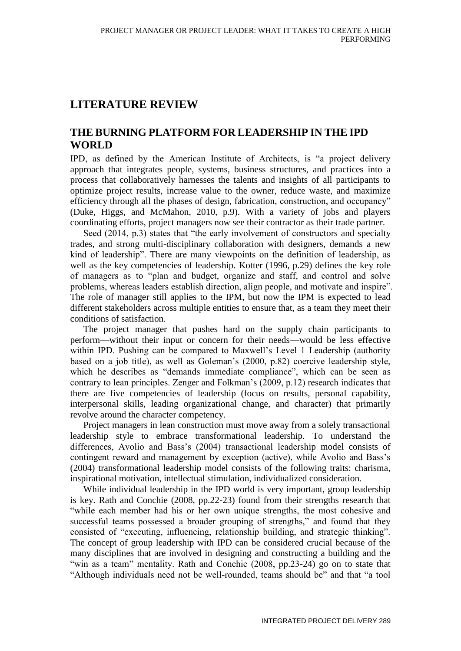# **LITERATURE REVIEW**

## **THE BURNING PLATFORM FOR LEADERSHIP IN THE IPD WORLD**

IPD, as defined by the American Institute of Architects, is "a project delivery approach that integrates people, systems, business structures, and practices into a process that collaboratively harnesses the talents and insights of all participants to optimize project results, increase value to the owner, reduce waste, and maximize efficiency through all the phases of design, fabrication, construction, and occupancy" (Duke, Higgs, and McMahon, 2010, p.9). With a variety of jobs and players coordinating efforts, project managers now see their contractor as their trade partner.

Seed (2014, p.3) states that "the early involvement of constructors and specialty trades, and strong multi-disciplinary collaboration with designers, demands a new kind of leadership". There are many viewpoints on the definition of leadership, as well as the key competencies of leadership. Kotter (1996, p.29) defines the key role of managers as to "plan and budget, organize and staff, and control and solve problems, whereas leaders establish direction, align people, and motivate and inspire". The role of manager still applies to the IPM, but now the IPM is expected to lead different stakeholders across multiple entities to ensure that, as a team they meet their conditions of satisfaction.

The project manager that pushes hard on the supply chain participants to perform—without their input or concern for their needs—would be less effective within IPD. Pushing can be compared to Maxwell's Level 1 Leadership (authority based on a job title), as well as Goleman's (2000, p.82) coercive leadership style, which he describes as "demands immediate compliance", which can be seen as contrary to lean principles. Zenger and Folkman's (2009, p.12) research indicates that there are five competencies of leadership (focus on results, personal capability, interpersonal skills, leading organizational change, and character) that primarily revolve around the character competency.

Project managers in lean construction must move away from a solely transactional leadership style to embrace transformational leadership. To understand the differences, Avolio and Bass's (2004) transactional leadership model consists of contingent reward and management by exception (active), while Avolio and Bass's (2004) transformational leadership model consists of the following traits: charisma, inspirational motivation, intellectual stimulation, individualized consideration.

While individual leadership in the IPD world is very important, group leadership is key. Rath and Conchie (2008, pp.22-23) found from their strengths research that "while each member had his or her own unique strengths, the most cohesive and successful teams possessed a broader grouping of strengths," and found that they consisted of "executing, influencing, relationship building, and strategic thinking". The concept of group leadership with IPD can be considered crucial because of the many disciplines that are involved in designing and constructing a building and the "win as a team" mentality. Rath and Conchie (2008, pp.23-24) go on to state that "Although individuals need not be well-rounded, teams should be" and that "a tool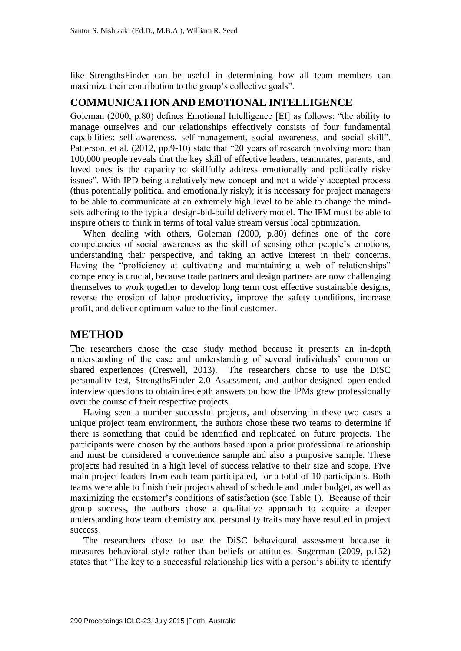like StrengthsFinder can be useful in determining how all team members can maximize their contribution to the group's collective goals".

#### **COMMUNICATION AND EMOTIONAL INTELLIGENCE**

Goleman (2000, p.80) defines Emotional Intelligence [EI] as follows: "the ability to manage ourselves and our relationships effectively consists of four fundamental capabilities: self-awareness, self-management, social awareness, and social skill". Patterson, et al. (2012, pp.9-10) state that "20 years of research involving more than 100,000 people reveals that the key skill of effective leaders, teammates, parents, and loved ones is the capacity to skillfully address emotionally and politically risky issues". With IPD being a relatively new concept and not a widely accepted process (thus potentially political and emotionally risky); it is necessary for project managers to be able to communicate at an extremely high level to be able to change the mindsets adhering to the typical design-bid-build delivery model. The IPM must be able to inspire others to think in terms of total value stream versus local optimization.

When dealing with others, Goleman (2000, p.80) defines one of the core competencies of social awareness as the skill of sensing other people's emotions, understanding their perspective, and taking an active interest in their concerns. Having the "proficiency at cultivating and maintaining a web of relationships" competency is crucial, because trade partners and design partners are now challenging themselves to work together to develop long term cost effective sustainable designs, reverse the erosion of labor productivity, improve the safety conditions, increase profit, and deliver optimum value to the final customer.

#### **METHOD**

The researchers chose the case study method because it presents an in-depth understanding of the case and understanding of several individuals' common or shared experiences (Creswell, 2013). The researchers chose to use the DiSC personality test, StrengthsFinder 2.0 Assessment, and author-designed open-ended interview questions to obtain in-depth answers on how the IPMs grew professionally over the course of their respective projects.

Having seen a number successful projects, and observing in these two cases a unique project team environment, the authors chose these two teams to determine if there is something that could be identified and replicated on future projects. The participants were chosen by the authors based upon a prior professional relationship and must be considered a convenience sample and also a purposive sample. These projects had resulted in a high level of success relative to their size and scope. Five main project leaders from each team participated, for a total of 10 participants. Both teams were able to finish their projects ahead of schedule and under budget, as well as maximizing the customer's conditions of satisfaction (see Table 1). Because of their group success, the authors chose a qualitative approach to acquire a deeper understanding how team chemistry and personality traits may have resulted in project success.

The researchers chose to use the DiSC behavioural assessment because it measures behavioral style rather than beliefs or attitudes. Sugerman (2009, p.152) states that "The key to a successful relationship lies with a person's ability to identify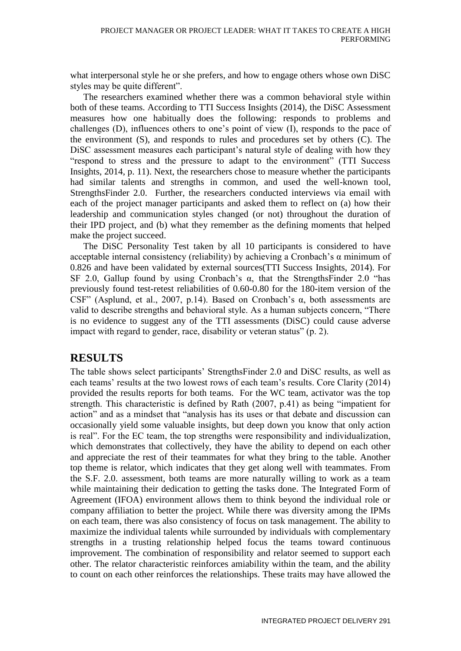what interpersonal style he or she prefers, and how to engage others whose own DiSC styles may be quite different".

The researchers examined whether there was a common behavioral style within both of these teams. According to TTI Success Insights (2014), the DiSC Assessment measures how one habitually does the following: responds to problems and challenges (D), influences others to one's point of view (I), responds to the pace of the environment (S), and responds to rules and procedures set by others (C). The DiSC assessment measures each participant's natural style of dealing with how they "respond to stress and the pressure to adapt to the environment" (TTI Success Insights, 2014, p. 11). Next, the researchers chose to measure whether the participants had similar talents and strengths in common, and used the well-known tool, StrengthsFinder 2.0. Further, the researchers conducted interviews via email with each of the project manager participants and asked them to reflect on (a) how their leadership and communication styles changed (or not) throughout the duration of their IPD project, and (b) what they remember as the defining moments that helped make the project succeed.

The DiSC Personality Test taken by all 10 participants is considered to have acceptable internal consistency (reliability) by achieving a Cronbach's  $\alpha$  minimum of 0.826 and have been validated by external sources(TTI Success Insights, 2014). For SF 2.0, Gallup found by using Cronbach's  $\alpha$ , that the StrengthsFinder 2.0 "has previously found test-retest reliabilities of 0.60-0.80 for the 180-item version of the CSF" (Asplund, et al., 2007, p.14). Based on Cronbach's  $\alpha$ , both assessments are valid to describe strengths and behavioral style. As a human subjects concern, "There is no evidence to suggest any of the TTI assessments (DiSC) could cause adverse impact with regard to gender, race, disability or veteran status" (p. 2).

## **RESULTS**

The table shows select participants' StrengthsFinder 2.0 and DiSC results, as well as each teams' results at the two lowest rows of each team's results. Core Clarity (2014) provided the results reports for both teams. For the WC team, activator was the top strength. This characteristic is defined by Rath (2007, p.41) as being "impatient for action" and as a mindset that "analysis has its uses or that debate and discussion can occasionally yield some valuable insights, but deep down you know that only action is real". For the EC team, the top strengths were responsibility and individualization, which demonstrates that collectively, they have the ability to depend on each other and appreciate the rest of their teammates for what they bring to the table. Another top theme is relator, which indicates that they get along well with teammates. From the S.F. 2.0. assessment, both teams are more naturally willing to work as a team while maintaining their dedication to getting the tasks done. The Integrated Form of Agreement (IFOA) environment allows them to think beyond the individual role or company affiliation to better the project. While there was diversity among the IPMs on each team, there was also consistency of focus on task management. The ability to maximize the individual talents while surrounded by individuals with complementary strengths in a trusting relationship helped focus the teams toward continuous improvement. The combination of responsibility and relator seemed to support each other. The relator characteristic reinforces amiability within the team, and the ability to count on each other reinforces the relationships. These traits may have allowed the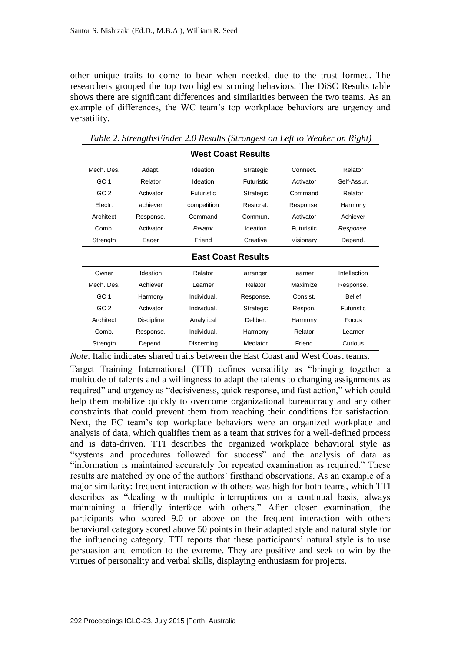other unique traits to come to bear when needed, due to the trust formed. The researchers grouped the top two highest scoring behaviors. The DiSC Results table shows there are significant differences and similarities between the two teams. As an example of differences, the WC team's top workplace behaviors are urgency and versatility.

| <b>West Coast Results</b> |                   |             |                   |            |                   |  |  |  |  |  |
|---------------------------|-------------------|-------------|-------------------|------------|-------------------|--|--|--|--|--|
| Mech. Des.                | Adapt.            | Ideation    | Strategic         | Connect.   | Relator           |  |  |  |  |  |
| GC 1                      | Relator           | Ideation    | <b>Futuristic</b> | Activator  | Self-Assur        |  |  |  |  |  |
| GC <sub>2</sub>           | Activator         | Futuristic  | Strategic         | Command    | Relator           |  |  |  |  |  |
| Electr.                   | achiever          | competition | Restorat.         | Response.  | Harmony           |  |  |  |  |  |
| Architect                 | Response.         | Command     | Commun.           | Activator  | Achiever          |  |  |  |  |  |
| Comb.                     | Activator         | Relator     | Ideation          | Futuristic | Response.         |  |  |  |  |  |
| Strength                  | Eager             | Friend      | Creative          | Visionary  | Depend.           |  |  |  |  |  |
| <b>East Coast Results</b> |                   |             |                   |            |                   |  |  |  |  |  |
|                           |                   |             |                   |            |                   |  |  |  |  |  |
| Owner                     | Ideation          | Relator     | arranger          | learner    | Intellection      |  |  |  |  |  |
| Mech. Des.                | Achiever          | I earner    | Relator           | Maximize   | Response.         |  |  |  |  |  |
| GC <sub>1</sub>           | Harmony           | Individual. | Response.         | Consist.   | <b>Belief</b>     |  |  |  |  |  |
| GC <sub>2</sub>           | Activator         | Individual. | Strategic         | Respon.    | <b>Futuristic</b> |  |  |  |  |  |
| Architect                 | <b>Discipline</b> | Analytical  | Deliber.          | Harmony    | Focus             |  |  |  |  |  |
| Comb.                     | Response.         | Individual. | Harmony           | Relator    | Learner           |  |  |  |  |  |

*Table 2. StrengthsFinder 2.0 Results (Strongest on Left to Weaker on Right)*

*Note*. Italic indicates shared traits between the East Coast and West Coast teams.

Target Training International (TTI) defines versatility as "bringing together a multitude of talents and a willingness to adapt the talents to changing assignments as required" and urgency as "decisiveness, quick response, and fast action," which could help them mobilize quickly to overcome organizational bureaucracy and any other constraints that could prevent them from reaching their conditions for satisfaction. Next, the EC team's top workplace behaviors were an organized workplace and analysis of data, which qualifies them as a team that strives for a well-defined process and is data-driven. TTI describes the organized workplace behavioral style as "systems and procedures followed for success" and the analysis of data as "information is maintained accurately for repeated examination as required." These results are matched by one of the authors' firsthand observations. As an example of a major similarity: frequent interaction with others was high for both teams, which TTI describes as "dealing with multiple interruptions on a continual basis, always maintaining a friendly interface with others." After closer examination, the participants who scored 9.0 or above on the frequent interaction with others behavioral category scored above 50 points in their adapted style and natural style for the influencing category. TTI reports that these participants' natural style is to use persuasion and emotion to the extreme. They are positive and seek to win by the virtues of personality and verbal skills, displaying enthusiasm for projects.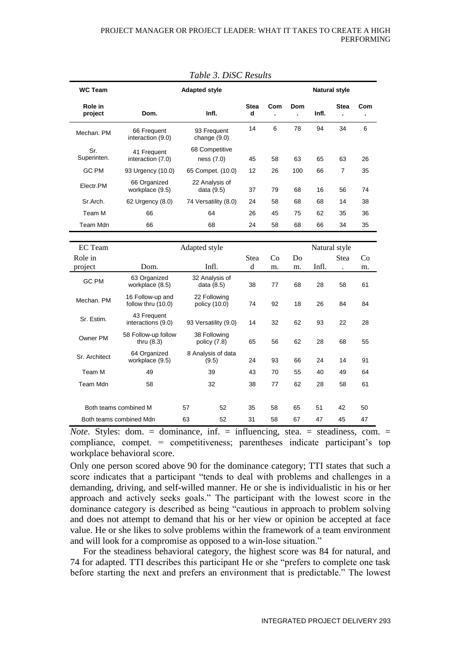| Table 5. DISC Results                    |                                        |                               |                  |                      |                       |       |                      |     |
|------------------------------------------|----------------------------------------|-------------------------------|------------------|----------------------|-----------------------|-------|----------------------|-----|
| <b>WC Team</b>                           | <b>Adapted style</b>                   |                               |                  | <b>Natural style</b> |                       |       |                      |     |
| Role in<br>project                       | Dom.                                   | Infl.                         | <b>Stea</b><br>d | Com                  | Dom<br>$\overline{a}$ | Infl. | <b>Stea</b><br>Ĭ.    | Com |
| Mechan, PM                               | 66 Frequent<br>interaction (9.0)       | 93 Frequent<br>change $(9.0)$ | 14               | 6                    | 78                    | 94    | 34                   | 6   |
| Sr.<br>Superinten.                       | 41 Frequent<br>interaction (7.0)       | 68 Competitive<br>ness (7.0)  | 45               | 58                   | 63                    | 65    | 63                   | 26  |
| GC PM                                    | 93 Urgency (10.0)                      | 65 Compet. (10.0)             | 12               | 26                   | 100                   | 66    | 7                    | 35  |
| Electr.PM                                | 66 Organized<br>workplace (9.5)        | 22 Analysis of<br>data (9.5)  | 37               | 79                   | 68                    | 16    | 56                   | 74  |
| Sr.Arch.                                 | 62 Urgency (8.0)                       | 74 Versatility (8.0)          | 24               | 58                   | 68                    | 68    | 14                   | 38  |
| Team M                                   | 66                                     | 64                            | 26               | 45                   | 75                    | 62    | 35                   | 36  |
| Team Mdn                                 | 66                                     | 68                            | 24               | 58                   | 68                    | 66    | 34                   | 35  |
|                                          |                                        |                               |                  |                      |                       |       |                      |     |
| <b>EC</b> Team                           |                                        |                               |                  | Natural style        |                       |       |                      |     |
| Role in                                  |                                        |                               | Stea             | Co                   | Do                    |       | Stea                 | Co  |
| project                                  | Dom.                                   | Infl.                         | d                | m.                   | m.                    | Infl. | $\ddot{\phantom{0}}$ | m.  |
| GC PM                                    | 63 Organized<br>workplace (8.5)        | 32 Analysis of<br>data (8.5)  | 38               | 77                   | 68                    | 28    | 58                   | 61  |
| Mechan. PM                               | 16 Follow-up and<br>follow thru (10.0) | 22 Following<br>policy (10.0) | 74               | 92                   | 18                    | 26    | 84                   | 84  |
| Sr. Estim.                               | 43 Frequent<br>interactions (9.0)      | 93 Versatility (9.0)          | 14               | 32                   | 62                    | 93    | 22                   | 28  |
| Owner PM                                 | 58 Follow-up follow<br>thru $(8.3)$    | 38 Following<br>policy (7.8)  | 65               | 56                   | 62                    | 28    | 68                   | 55  |
| Sr. Architect                            | 64 Organized<br>workplace (9.5)        | 8 Analysis of data<br>(9.5)   | 24               | 93                   | 66                    | 24    | 14                   | 91  |
| Team M                                   | 49                                     | 39                            | 43               | 70                   | 55                    | 40    | 49                   | 64  |
| Team Mdn                                 | 58                                     | 32                            | 38               | 77                   | 62                    | 28    | 58                   | 61  |
| Both teams combined M                    |                                        | 57<br>52                      | 35               | 58                   | 65                    | 51    | 42                   | 50  |
| Both teams combined Mdn                  |                                        | 63<br>52                      | 31               | 58                   | 67                    | 47    | 45                   | 47  |
| $\sim$<br>$\ddot{\phantom{1}}$<br>$\sim$ |                                        |                               |                  |                      |                       |       |                      |     |

*Table 3. DiSC Results*

*Note*. Styles: dom. = dominance, inf. = influencing, stea. = steadiness, com. = compliance, compet. = competitiveness; parentheses indicate participant's top workplace behavioral score.

Only one person scored above 90 for the dominance category; TTI states that such a score indicates that a participant "tends to deal with problems and challenges in a demanding, driving, and self-willed manner. He or she is individualistic in his or her approach and actively seeks goals." The participant with the lowest score in the dominance category is described as being "cautious in approach to problem solving and does not attempt to demand that his or her view or opinion be accepted at face value. He or she likes to solve problems within the framework of a team environment and will look for a compromise as opposed to a win-lose situation."

For the steadiness behavioral category, the highest score was 84 for natural, and 74 for adapted. TTI describes this participant He or she "prefers to complete one task before starting the next and prefers an environment that is predictable." The lowest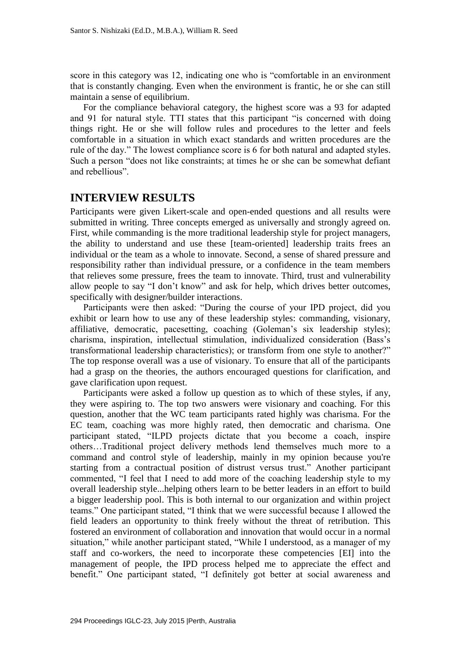score in this category was 12, indicating one who is "comfortable in an environment that is constantly changing. Even when the environment is frantic, he or she can still maintain a sense of equilibrium.

For the compliance behavioral category, the highest score was a 93 for adapted and 91 for natural style. TTI states that this participant "is concerned with doing things right. He or she will follow rules and procedures to the letter and feels comfortable in a situation in which exact standards and written procedures are the rule of the day." The lowest compliance score is 6 for both natural and adapted styles. Such a person "does not like constraints; at times he or she can be somewhat defiant and rebellious".

## **INTERVIEW RESULTS**

Participants were given Likert-scale and open-ended questions and all results were submitted in writing. Three concepts emerged as universally and strongly agreed on. First, while commanding is the more traditional leadership style for project managers, the ability to understand and use these [team-oriented] leadership traits frees an individual or the team as a whole to innovate. Second, a sense of shared pressure and responsibility rather than individual pressure, or a confidence in the team members that relieves some pressure, frees the team to innovate. Third, trust and vulnerability allow people to say "I don't know" and ask for help, which drives better outcomes, specifically with designer/builder interactions.

Participants were then asked: "During the course of your IPD project, did you exhibit or learn how to use any of these leadership styles: commanding, visionary, affiliative, democratic, pacesetting, coaching (Goleman's six leadership styles); charisma, inspiration, intellectual stimulation, individualized consideration (Bass's transformational leadership characteristics); or transform from one style to another?" The top response overall was a use of visionary. To ensure that all of the participants had a grasp on the theories, the authors encouraged questions for clarification, and gave clarification upon request.

Participants were asked a follow up question as to which of these styles, if any, they were aspiring to. The top two answers were visionary and coaching. For this question, another that the WC team participants rated highly was charisma. For the EC team, coaching was more highly rated, then democratic and charisma. One participant stated, "ILPD projects dictate that you become a coach, inspire others…Traditional project delivery methods lend themselves much more to a command and control style of leadership, mainly in my opinion because you're starting from a contractual position of distrust versus trust." Another participant commented, "I feel that I need to add more of the coaching leadership style to my overall leadership style...helping others learn to be better leaders in an effort to build a bigger leadership pool. This is both internal to our organization and within project teams." One participant stated, "I think that we were successful because I allowed the field leaders an opportunity to think freely without the threat of retribution. This fostered an environment of collaboration and innovation that would occur in a normal situation," while another participant stated, "While I understood, as a manager of my staff and co-workers, the need to incorporate these competencies [EI] into the management of people, the IPD process helped me to appreciate the effect and benefit." One participant stated, "I definitely got better at social awareness and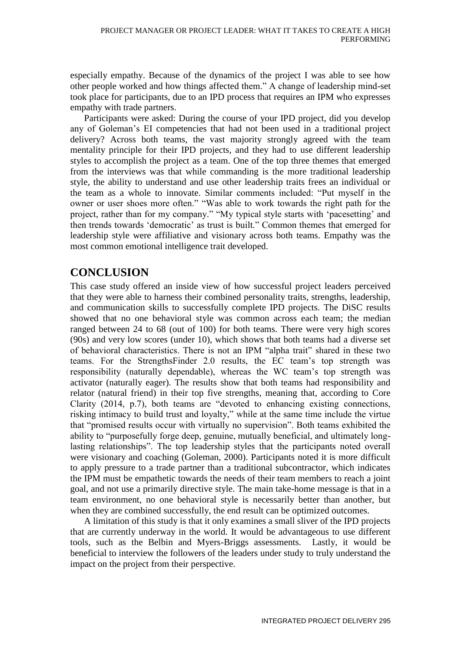especially empathy. Because of the dynamics of the project I was able to see how other people worked and how things affected them." A change of leadership mind-set took place for participants, due to an IPD process that requires an IPM who expresses empathy with trade partners.

Participants were asked: During the course of your IPD project, did you develop any of Goleman's EI competencies that had not been used in a traditional project delivery? Across both teams, the vast majority strongly agreed with the team mentality principle for their IPD projects, and they had to use different leadership styles to accomplish the project as a team. One of the top three themes that emerged from the interviews was that while commanding is the more traditional leadership style, the ability to understand and use other leadership traits frees an individual or the team as a whole to innovate. Similar comments included: "Put myself in the owner or user shoes more often." "Was able to work towards the right path for the project, rather than for my company." "My typical style starts with 'pacesetting' and then trends towards 'democratic' as trust is built." Common themes that emerged for leadership style were affiliative and visionary across both teams. Empathy was the most common emotional intelligence trait developed.

# **CONCLUSION**

This case study offered an inside view of how successful project leaders perceived that they were able to harness their combined personality traits, strengths, leadership, and communication skills to successfully complete IPD projects. The DiSC results showed that no one behavioral style was common across each team; the median ranged between 24 to 68 (out of 100) for both teams. There were very high scores (90s) and very low scores (under 10), which shows that both teams had a diverse set of behavioral characteristics. There is not an IPM "alpha trait" shared in these two teams. For the StrengthsFinder 2.0 results, the EC team's top strength was responsibility (naturally dependable), whereas the WC team's top strength was activator (naturally eager). The results show that both teams had responsibility and relator (natural friend) in their top five strengths, meaning that, according to Core Clarity (2014, p.7), both teams are "devoted to enhancing existing connections, risking intimacy to build trust and loyalty," while at the same time include the virtue that "promised results occur with virtually no supervision". Both teams exhibited the ability to "purposefully forge deep, genuine, mutually beneficial, and ultimately longlasting relationships". The top leadership styles that the participants noted overall were visionary and coaching (Goleman, 2000). Participants noted it is more difficult to apply pressure to a trade partner than a traditional subcontractor, which indicates the IPM must be empathetic towards the needs of their team members to reach a joint goal, and not use a primarily directive style. The main take-home message is that in a team environment, no one behavioral style is necessarily better than another, but when they are combined successfully, the end result can be optimized outcomes.

A limitation of this study is that it only examines a small sliver of the IPD projects that are currently underway in the world. It would be advantageous to use different tools, such as the Belbin and Myers-Briggs assessments. Lastly, it would be beneficial to interview the followers of the leaders under study to truly understand the impact on the project from their perspective.